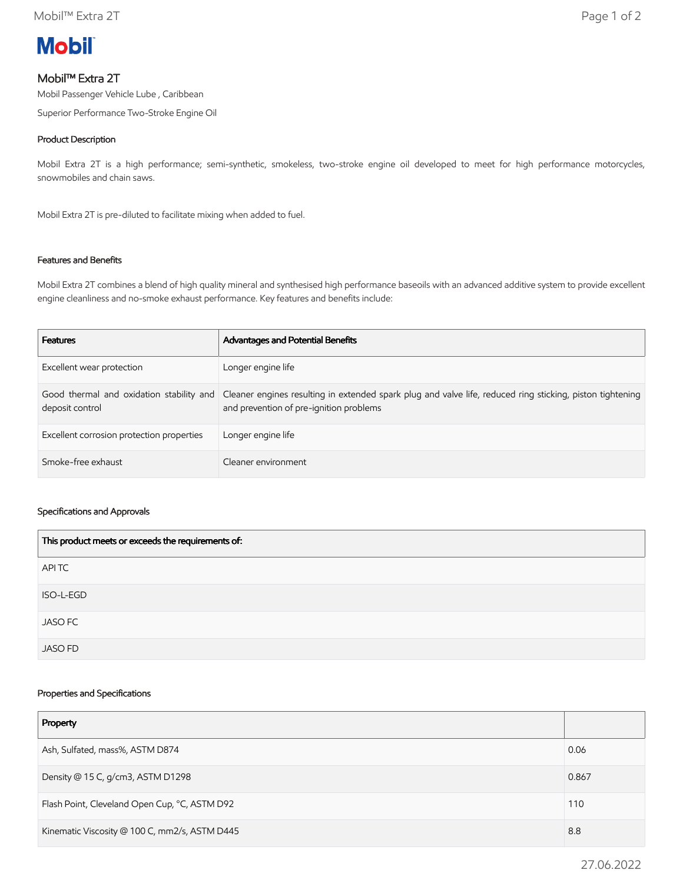

# Mobil™ Extra 2T

Mobil Passenger Vehicle Lube , Caribbean

Superior Performance Two-Stroke Engine Oil

### Product Description

Mobil Extra 2T is a high performance; semi-synthetic, smokeless, two-stroke engine oil developed to meet for high performance motorcycles, snowmobiles and chain saws.

Mobil Extra 2T is pre-diluted to facilitate mixing when added to fuel.

## Features and Benefits

Mobil Extra 2T combines a blend of high quality mineral and synthesised high performance baseoils with an advanced additive system to provide excellent engine cleanliness and no-smoke exhaust performance. Key features and benefits include:

| <b>Features</b>                           | Advantages and Potential Benefits                                                                                                                                                             |
|-------------------------------------------|-----------------------------------------------------------------------------------------------------------------------------------------------------------------------------------------------|
| Excellent wear protection                 | Longer engine life                                                                                                                                                                            |
| deposit control                           | Good thermal and oxidation stability and Cleaner engines resulting in extended spark plug and valve life, reduced ring sticking, piston tightening<br>and prevention of pre-ignition problems |
| Excellent corrosion protection properties | Longer engine life                                                                                                                                                                            |
| Smoke-free exhaust                        | Cleaner environment                                                                                                                                                                           |

#### Specifications and Approvals

| This product meets or exceeds the requirements of: |
|----------------------------------------------------|
| APITC                                              |
| ISO-L-EGD                                          |
| <b>JASO FC</b>                                     |
| <b>JASO FD</b>                                     |

#### Properties and Specifications

| Property                                      |       |
|-----------------------------------------------|-------|
| Ash, Sulfated, mass%, ASTM D874               | 0.06  |
| Density @ 15 C, g/cm3, ASTM D1298             | 0.867 |
| Flash Point, Cleveland Open Cup, °C, ASTM D92 |       |
| Kinematic Viscosity @ 100 C, mm2/s, ASTM D445 |       |